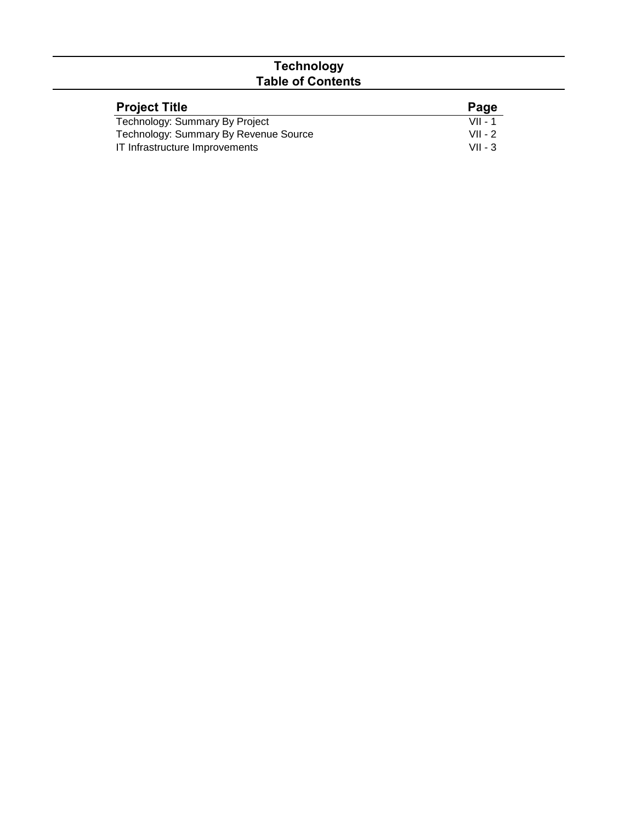## **Technology Table of Contents**

| <b>Project Title</b>                  | Page      |
|---------------------------------------|-----------|
| Technology: Summary By Project        | $VII - 1$ |
| Technology: Summary By Revenue Source | $VII - 2$ |
| IT Infrastructure Improvements        | $VII - 3$ |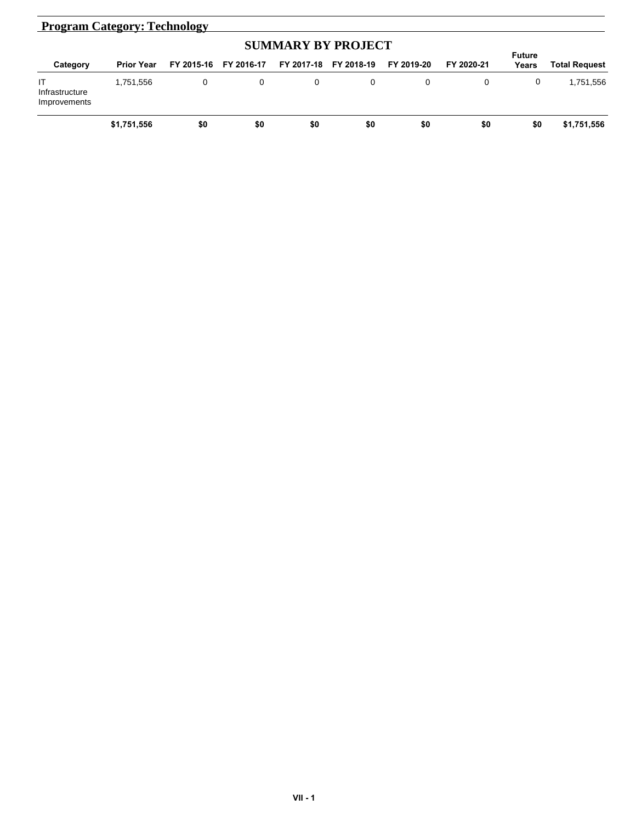| <b>Program Category: Technology</b>  |                   |     |                       |            |            |            |            |       |               |
|--------------------------------------|-------------------|-----|-----------------------|------------|------------|------------|------------|-------|---------------|
|                                      | <b>Future</b>     |     |                       |            |            |            |            |       |               |
| Category                             | <b>Prior Year</b> |     | FY 2015-16 FY 2016-17 | FY 2017-18 | FY 2018-19 | FY 2019-20 | FY 2020-21 | Years | Total Request |
| IT<br>Infrastructure<br>Improvements | 1,751,556         | 0   | 0                     | 0          | 0          | 0          |            | 0     | 1,751,556     |
|                                      | \$1,751,556       | \$0 | \$0                   | \$0        | \$0        | \$0        | \$0        | \$0   | \$1,751,556   |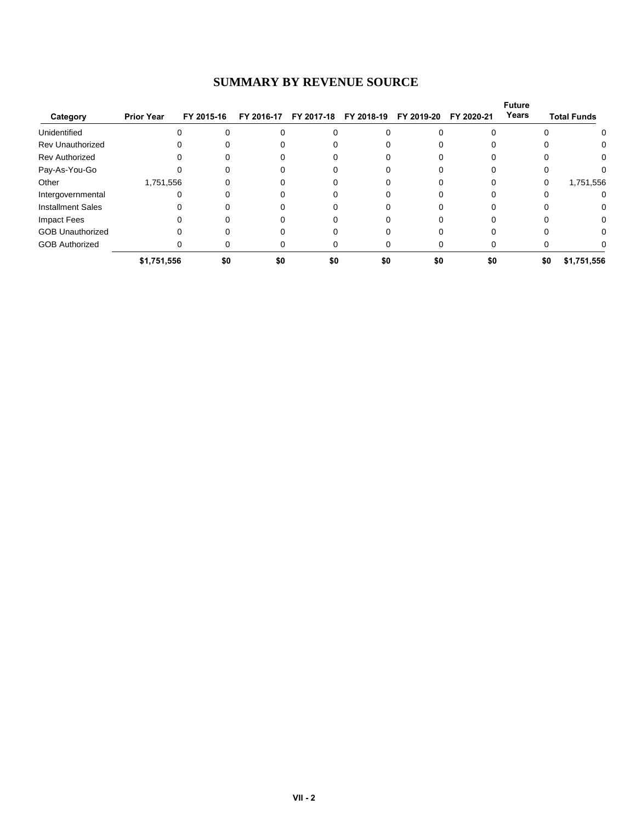## **SUMMARY BY REVENUE SOURCE**

| Category                 | <b>Prior Year</b> | FY 2015-16 | FY 2016-17 | FY 2017-18 | FY 2018-19 | FY 2019-20 | FY 2020-21 | <b>Future</b><br>Years | <b>Total Funds</b> |
|--------------------------|-------------------|------------|------------|------------|------------|------------|------------|------------------------|--------------------|
| Unidentified             |                   |            |            |            |            |            |            |                        |                    |
| <b>Rev Unauthorized</b>  |                   |            |            |            |            |            |            |                        | 0                  |
| <b>Rev Authorized</b>    |                   |            |            |            |            |            |            |                        | 0                  |
| Pay-As-You-Go            |                   |            |            |            |            |            |            |                        |                    |
| Other                    | 1,751,556         |            |            |            |            |            |            | 0                      | 1,751,556          |
| Intergovernmental        |                   |            |            |            |            |            |            |                        | 0                  |
| <b>Installment Sales</b> |                   |            |            |            |            |            |            |                        | 0                  |
| Impact Fees              |                   |            |            |            |            |            |            |                        | $\Omega$           |
| <b>GOB Unauthorized</b>  |                   |            |            |            |            |            |            |                        | 0                  |
| <b>GOB Authorized</b>    |                   |            |            |            |            |            |            |                        |                    |
|                          | \$1,751,556       | \$0        | \$0        | \$0        | \$0        | \$0        | \$0        | \$0                    | \$1,751,556        |